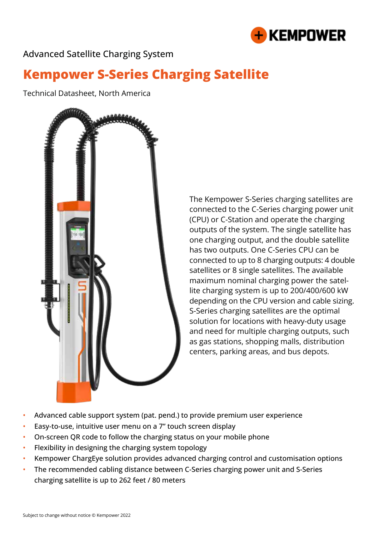

Advanced Satellite Charging System

# **Kempower S-Series Charging Satellite**

Technical Datasheet, North America



The Kempower S-Series charging satellites are connected to the C-Series charging power unit (CPU) or C-Station and operate the charging outputs of the system. The single satellite has one charging output, and the double satellite has two outputs. One C-Series CPU can be connected to up to 8 charging outputs: 4 double satellites or 8 single satellites. The available maximum nominal charging power the satellite charging system is up to 200/400/600 kW depending on the CPU version and cable sizing. S-Series charging satellites are the optimal solution for locations with heavy-duty usage and need for multiple charging outputs, such as gas stations, shopping malls, distribution centers, parking areas, and bus depots.

- Advanced cable support system (pat. pend.) to provide premium user experience
- Easy-to-use, intuitive user menu on a 7" touch screen display
- On-screen QR code to follow the charging status on your mobile phone
- Flexibility in designing the charging system topology
- Kempower ChargEye solution provides advanced charging control and customisation options
- The recommended cabling distance between C-Series charging power unit and S-Series charging satellite is up to 262 feet / 80 meters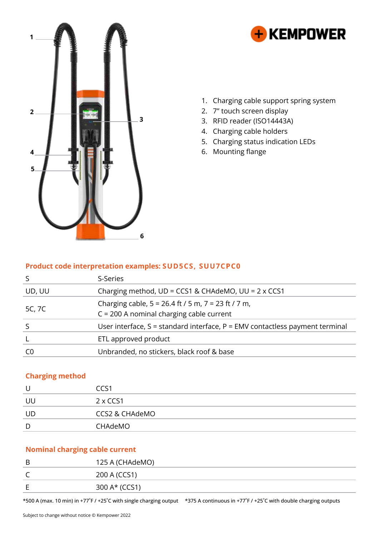



- 1. Charging cable support spring system
- 2. 7" touch screen display
- 3. RFID reader (ISO14443A)
- 4. Charging cable holders
- 5. Charging status indication LEDs
- 6. Mounting flange

#### **Product code interpretation examples: SUD5CS, SUU7CPC0**

|        | S-Series                                                                                              |
|--------|-------------------------------------------------------------------------------------------------------|
| UD, UU | Charging method, $UD = CCS1$ & CHAdeMO, $UU = 2 \times CC51$                                          |
| 5C, 7C | Charging cable, $5 = 26.4$ ft / 5 m, $7 = 23$ ft / 7 m,<br>$C = 200$ A nominal charging cable current |
|        | User interface, $S =$ standard interface, $P =$ EMV contactless payment terminal                      |
|        | ETL approved product                                                                                  |
|        | Unbranded, no stickers, black roof & base                                                             |

### **Charging method**

| U  | CCS1                      |
|----|---------------------------|
| UL | $2 \times CCS1$           |
| UD | <b>CCS2 &amp; CHAdeMO</b> |
| D  | CHAdeMO                   |

## **Nominal charging cable current**

| B | 125 A (CHAdeMO) |
|---|-----------------|
| ╰ | 200 A (CCS1)    |
| E | 300 A* (CCS1)   |

\*500 A (max. 10 min) in +77˚F / +25˚C with single charging output \*375 A continuous in +77˚F / +25˚C with double charging outputs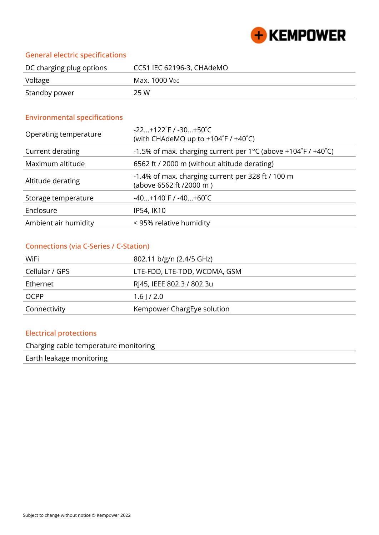

## **General electric specifications**

| DC charging plug options | CCS1 IEC 62196-3, CHAdeMO |
|--------------------------|---------------------------|
| Voltage                  | Max. 1000 V <sub>PC</sub> |
| Standby power            | 25 W                      |

## **Environmental specifications**

| Operating temperature | $-22+122$ °F / $-30+50$ °C<br>(with CHAdeMO up to $+104^{\circ}F / +40^{\circ}C$ ) |
|-----------------------|------------------------------------------------------------------------------------|
| Current derating      | -1.5% of max. charging current per 1°C (above +104°F / +40°C)                      |
| Maximum altitude      | 6562 ft / 2000 m (without altitude derating)                                       |
| Altitude derating     | -1.4% of max. charging current per 328 ft / 100 m<br>(above 6562 ft /2000 m)       |
| Storage temperature   | $-40+140$ °F / $-40+60$ °C                                                         |
| Enclosure             | IP54, IK10                                                                         |
| Ambient air humidity  | < 95% relative humidity                                                            |

#### **Connections (via C-Series / C-Station)**

| WiFi           | 802.11 b/g/n (2.4/5 GHz)     |
|----------------|------------------------------|
| Cellular / GPS | LTE-FDD, LTE-TDD, WCDMA, GSM |
| Ethernet       | RJ45, IEEE 802.3 / 802.3u    |
| <b>OCPP</b>    | $1.6$   $/2.0$               |
| Connectivity   | Kempower ChargEye solution   |

## **Electrical protections**

Charging cable temperature monitoring

Earth leakage monitoring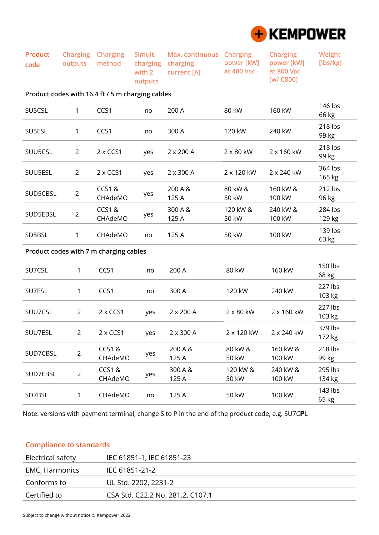

| <b>Product</b><br>code | <b>Charging</b><br>outputs | <b>Charging</b><br>method                        | Simult.<br>charging<br>with 2<br>outputs | Max. continuous Charging<br>charging<br>current [A] | power [kW]<br>at 400 V <sub>DC</sub> | <b>Charging</b><br>power [kW]<br>at 800 V <sub>DC</sub><br>(w/ C800) | Weight<br>[lbs/kg] |
|------------------------|----------------------------|--------------------------------------------------|------------------------------------------|-----------------------------------------------------|--------------------------------------|----------------------------------------------------------------------|--------------------|
|                        |                            | Product codes with 16.4 ft / 5 m charging cables |                                          |                                                     |                                      |                                                                      |                    |
| SU5CSL                 | 1                          | CCS1                                             | no                                       | 200 A                                               | 80 kW                                | 160 kW                                                               | 146 lbs<br>66 kg   |
| SU5ESL                 | 1                          | CCS1                                             | no                                       | 300 A                                               | 120 kW                               | 240 kW                                                               | 218 lbs<br>99 kg   |
| SUU5CSL                | $\overline{2}$             | $2 \times CCS1$                                  | yes                                      | $2 \times 200$ A                                    | 2 x 80 kW                            | 2 x 160 kW                                                           | 218 lbs<br>99 kg   |
| SUU5ESL                | $\overline{2}$             | $2 \times CCS1$                                  | yes                                      | $2 \times 300$ A                                    | 2 x 120 kW                           | 2 x 240 kW                                                           | 364 lbs<br>165 kg  |
| SUD5CBSL               | $\overline{2}$             | <b>CCS1&amp;</b><br>CHAdeMO                      | yes                                      | 200 A &<br>125 A                                    | 80 kW &<br>50 kW                     | 160 kW &<br>100 kW                                                   | 212 lbs<br>96 kg   |
| SUD5EBSL               | $\overline{2}$             | <b>CCS1&amp;</b><br>CHAdeMO                      | yes                                      | 300 A &<br>125 A                                    | 120 kW &<br>50 kW                    | 240 kW &<br>100 kW                                                   | 284 lbs<br>129 kg  |
| SD5BSL                 | 1                          | CHAdeMO                                          | no                                       | 125 A                                               | 50 kW                                | 100 kW                                                               | 139 lbs<br>63 kg   |
|                        |                            | Product codes with 7 m charging cables           |                                          |                                                     |                                      |                                                                      |                    |
| SU7CSL                 | 1                          | CCS1                                             | no                                       | 200 A                                               | 80 kW                                | 160 kW                                                               | 150 lbs<br>68 kg   |
| SU7ESL                 | 1                          | CCS1                                             | no                                       | 300 A                                               | 120 kW                               | 240 kW                                                               | 227 lbs<br>103 kg  |
| SUU7CSL                | $\overline{2}$             | $2 \times CCS1$                                  | yes                                      | $2 \times 200$ A                                    | $2 \times 80$ kW                     | 2 x 160 kW                                                           | 227 lbs<br>103 kg  |
| SUU7ESL                | $\overline{2}$             | 2 x CCS1                                         | yes                                      | 2 x 300 A                                           | 2 x 120 kW                           | 2 x 240 kW                                                           | 379 lbs<br>172 kg  |
| SUD7CBSL               | $\overline{2}$             | <b>CCS1&amp;</b><br>CHAdeMO                      | yes                                      | 200 A &<br>125 A                                    | 80 kW &<br>50 kW                     | 160 kW &<br>100 kW                                                   | 218 lbs<br>99 kg   |
| SUD7EBSL               | $\overline{2}$             | <b>CCS1&amp;</b><br>CHAdeMO                      | yes                                      | 300 A &<br>125 A                                    | 120 kW &<br>50 kW                    | 240 kW &<br>100 kW                                                   | 295 lbs<br>134 kg  |
| SD7BSL                 | 1                          | CHAdeMO                                          | no                                       | 125 A                                               | 50 kW                                | 100 kW                                                               | 143 lbs<br>65 kg   |

Note: versions with payment terminal, change S to P in the end of the product code, e.g. SU7C**P**L

## **Compliance to standards**

| Electrical safety | IEC 61851-1, IEC 61851-23        |
|-------------------|----------------------------------|
| EMC, Harmonics    | IEC 61851-21-2                   |
| Conforms to       | UL Std. 2202, 2231-2             |
| Certified to      | CSA Std. C22.2 No. 281.2, C107.1 |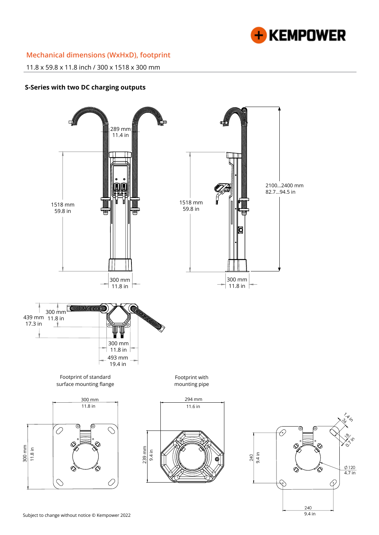

## **Mechanical dimensions (WxHxD), footprint**

11.8 x 59.8 x 11.8 inch / 300 x 1518 x 300 mm

#### **S-Series with two DC charging outputs**